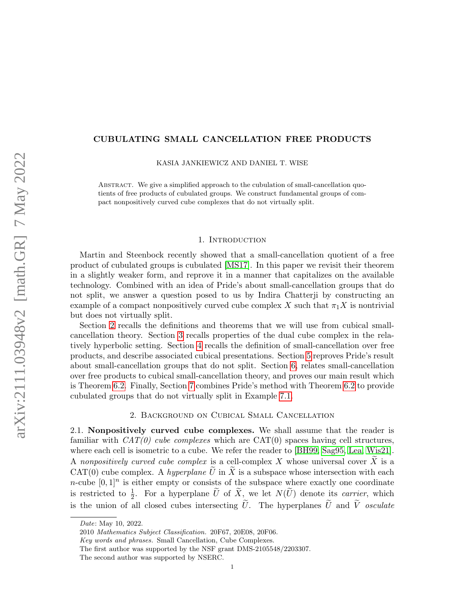### CUBULATING SMALL CANCELLATION FREE PRODUCTS

KASIA JANKIEWICZ AND DANIEL T. WISE

Abstract. We give a simplified approach to the cubulation of small-cancellation quotients of free products of cubulated groups. We construct fundamental groups of compact nonpositively curved cube complexes that do not virtually split.

### 1. Introduction

Martin and Steenbock recently showed that a small-cancellation quotient of a free product of cubulated groups is cubulated [\[MS17\]](#page-10-0). In this paper we revisit their theorem in a slightly weaker form, and reprove it in a manner that capitalizes on the available technology. Combined with an idea of Pride's about small-cancellation groups that do not split, we answer a question posed to us by Indira Chatterji by constructing an example of a compact nonpositively curved cube complex X such that  $\pi_1 X$  is nontrivial but does not virtually split.

Section [2](#page-0-0) recalls the definitions and theorems that we will use from cubical smallcancellation theory. Section [3](#page-2-0) recalls properties of the dual cube complex in the relatively hyperbolic setting. Section [4](#page-4-0) recalls the definition of small-cancellation over free products, and describe associated cubical presentations. Section [5](#page-6-0) reproves Pride's result about small-cancellation groups that do not split. Section [6,](#page-9-0) relates small-cancellation over free products to cubical small-cancellation theory, and proves our main result which is Theorem [6.2.](#page-9-1) Finally, Section [7](#page-9-2) combines Pride's method with Theorem [6.2](#page-9-1) to provide cubulated groups that do not virtually split in Example [7.1.](#page-10-1)

# 2. Background on Cubical Small Cancellation

<span id="page-0-0"></span>2.1. Nonpositively curved cube complexes. We shall assume that the reader is familiar with  $CAT(0)$  cube complexes which are  $CAT(0)$  spaces having cell structures, where each cell is isometric to a cube. We refer the reader to [\[BH99,](#page-10-2) [Sag95,](#page-10-3) [Lea,](#page-10-4) [Wis21\]](#page-10-5). A nonpositively curved cube complex is a cell-complex X whose universal cover  $\widetilde{X}$  is a  $CAT(0)$  cube complex. A *hyperplane U* in X is a subspace whose intersection with each *n*-cube  $[0,1]^n$  is either empty or consists of the subspace where exactly one coordinate is restricted to  $\frac{1}{2}$ . For a hyperplane  $\tilde{U}$  of  $\tilde{X}$ , we let  $N(\tilde{U})$  denote its *carrier*, which is the union of all closed cubes intersecting  $\tilde{U}$ . The hyperplanes  $\tilde{U}$  and  $\tilde{V}$  osculate

2010 Mathematics Subject Classification. 20F67, 20E08, 20F06.

The first author was supported by the NSF grant DMS-2105548/2203307.

Date: May 10, 2022.

Key words and phrases. Small Cancellation, Cube Complexes.

The second author was supported by NSERC.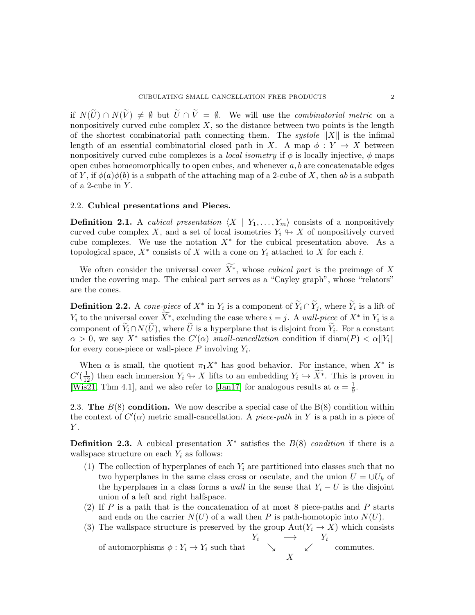if  $N(\tilde{U}) \cap N(\tilde{V}) \neq \emptyset$  but  $\tilde{U} \cap \tilde{V} = \emptyset$ . We will use the *combinatorial metric* on a nonpositively curved cube complex  $X$ , so the distance between two points is the length of the shortest combinatorial path connecting them. The *systole*  $||X||$  is the infimal length of an essential combinatorial closed path in X. A map  $\phi: Y \to X$  between nonpositively curved cube complexes is a *local isometry* if  $\phi$  is locally injective,  $\phi$  maps open cubes homeomorphically to open cubes, and whenever  $a, b$  are concatenatable edges of Y, if  $\phi(a)\phi(b)$  is a subpath of the attaching map of a 2-cube of X, then ab is a subpath of a 2-cube in  $Y$ .

### 2.2. Cubical presentations and Pieces.

**Definition 2.1.** A *cubical presentation*  $\langle X | Y_1, \ldots, Y_m \rangle$  consists of a nonpositively curved cube complex X, and a set of local isometries  $Y_i \leftrightarrow X$  of nonpositively curved cube complexes. We use the notation  $X^*$  for the cubical presentation above. As a topological space,  $X^*$  consists of X with a cone on  $Y_i$  attached to X for each i.

We often consider the universal cover  $\widetilde{X}^*$ , whose *cubical part* is the preimage of X under the covering map. The cubical part serves as a "Cayley graph", whose "relators" are the cones.

**Definition 2.2.** A cone-piece of  $X^*$  in  $Y_i$  is a component of  $\widetilde{Y}_i \cap \widetilde{Y}_j$ , where  $\widetilde{Y}_i$  is a lift of  $Y_i$  to the universal cover  $\widetilde{X}^*$ , excluding the case where  $i = j$ . A wall-piece of  $X^*$  in  $Y_i$  is a component of  $Y_i \cap N(U)$ , where U is a hyperplane that is disjoint from  $Y_i$ . For a constant  $\alpha > 0$ , we say X<sup>\*</sup> satisfies the  $C'(\alpha)$  small-cancellation condition if diam(P)  $\langle \alpha | Y_i |$ for every cone-piece or wall-piece  $P$  involving  $Y_i$ .

When  $\alpha$  is small, the quotient  $\pi_1 X^*$  has good behavior. For instance, when  $X^*$  is  $C'(\frac{1}{12})$  then each immersion  $Y_i \hookrightarrow X$  lifts to an embedding  $Y_i \hookrightarrow \widetilde{X}^*$ . This is proven in [\[Wis21,](#page-10-5) Thm 4.1], and we also refer to [\[Jan17\]](#page-10-6) for analogous results at  $\alpha = \frac{1}{9}$  $\frac{1}{9}$ .

2.3. The  $B(8)$  condition. We now describe a special case of the  $B(8)$  condition within the context of  $C'(\alpha)$  metric small-cancellation. A piece-path in Y is a path in a piece of  $Y$ .

<span id="page-1-0"></span>**Definition 2.3.** A cubical presentation  $X^*$  satisfies the  $B(8)$  condition if there is a wallspace structure on each  $Y_i$  as follows:

- <span id="page-1-2"></span>(1) The collection of hyperplanes of each  $Y_i$  are partitioned into classes such that no two hyperplanes in the same class cross or osculate, and the union  $U = \bigcup U_k$  of the hyperplanes in a class forms a *wall* in the sense that  $Y_i - U$  is the disjoint union of a left and right halfspace.
- <span id="page-1-1"></span>(2) If P is a path that is the concatenation of at most 8 piece-paths and P starts and ends on the carrier  $N(U)$  of a wall then P is path-homotopic into  $N(U)$ .
- <span id="page-1-3"></span>(3) The wallspace structure is preserved by the group  $Aut(Y_i \to X)$  which consists of automorphisms  $\phi: Y_i \to Y_i$  such that  $Y_i \longrightarrow Y_i$ commutes.

$$
\sim 10^{11}
$$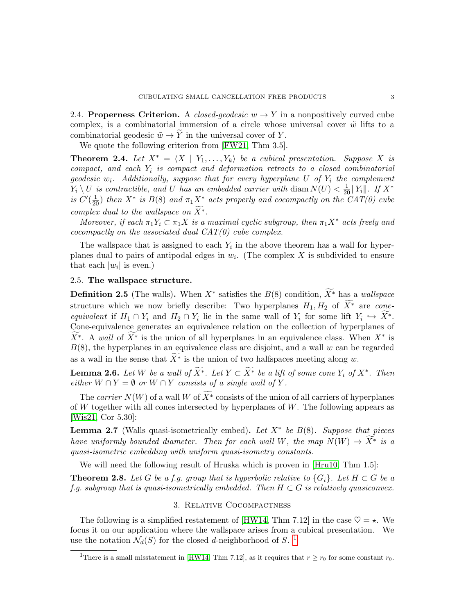2.4. Properness Criterion. A *closed-geodesic*  $w \rightarrow Y$  in a nonpositively curved cube complex, is a combinatorial immersion of a circle whose universal cover  $\tilde{w}$  lifts to a combinatorial geodesic  $\tilde{w} \rightarrow Y$  in the universal cover of Y.

We quote the following criterion from [\[FW21,](#page-10-7) Thm 3.5].

<span id="page-2-4"></span>**Theorem 2.4.** Let  $X^* = \langle X | Y_1, \ldots, Y_k \rangle$  be a cubical presentation. Suppose X is compact, and each  $Y_i$  is compact and deformation retracts to a closed combinatorial geodesic  $w_i$ . Additionally, suppose that for every hyperplane U of  $Y_i$  the complement  $Y_i \setminus U$  is contractible, and U has an embedded carrier with diam  $N(U) < \frac{1}{20} ||Y_i||$ . If  $X^*$ is  $C'(\frac{1}{20})$  then  $X^*$  is  $B(8)$  and  $\pi_1 X^*$  acts properly and cocompactly on the  $CAT(0)$  cube complex dual to the wallspace on  $\widetilde{X^*}.$ 

Moreover, if each  $\pi_1 Y_i \subset \pi_1 X$  is a maximal cyclic subgroup, then  $\pi_1 X^*$  acts freely and cocompactly on the associated dual  $CAT(0)$  cube complex.

The wallspace that is assigned to each  $Y_i$  in the above theorem has a wall for hyperplanes dual to pairs of antipodal edges in  $w_i$ . (The complex X is subdivided to ensure that each  $|w_i|$  is even.)

# <span id="page-2-2"></span>2.5. The wallspace structure.

**Definition 2.5** (The walls). When  $X^*$  satisfies the  $B(8)$  condition,  $\widetilde{X^*}$  has a wallspace structure which we now briefly describe: Two hyperplanes  $H_1, H_2$  of  $\widetilde{X}^*$  are coneequivalent if  $H_1 \cap Y_i$  and  $H_2 \cap Y_i$  lie in the same wall of  $Y_i$  for some lift  $Y_i \hookrightarrow X^*$ . Cone-equivalence generates an equivalence relation on the collection of hyperplanes of  $\widetilde{X^*}$ . A wall of  $\widetilde{X^*}$  is the union of all hyperplanes in an equivalence class. When  $X^*$  is  $B(8)$ , the hyperplanes in an equivalence class are disjoint, and a wall w can be regarded as a wall in the sense that  $\widetilde{X}^*$  is the union of two halfspaces meeting along w.

<span id="page-2-3"></span>**Lemma 2.6.** Let W be a wall of  $\widetilde{X}^*$ . Let  $Y \subset \widetilde{X}^*$  be a lift of some cone  $Y_i$  of  $X^*$ . Then either  $W \cap Y = \emptyset$  or  $W \cap Y$  consists of a single wall of  $Y$ .

The carrier  $N(W)$  of a wall W of  $\widetilde{X^*}$  consists of the union of all carriers of hyperplanes of  $W$  together with all cones intersected by hyperplanes of  $W$ . The following appears as [\[Wis21,](#page-10-5) Cor 5.30]:

<span id="page-2-5"></span>**Lemma 2.7** (Walls quasi-isometrically embed). Let  $X^*$  be  $B(8)$ . Suppose that pieces have uniformly bounded diameter. Then for each wall W, the map  $N(W) \rightarrow \widetilde{X}^*$  is a quasi-isometric embedding with uniform quasi-isometry constants.

We will need the following result of Hruska which is proven in [\[Hru10,](#page-10-8) Thm 1.5]:

<span id="page-2-6"></span>**Theorem 2.8.** Let G be a f.g. group that is hyperbolic relative to  $\{G_i\}$ . Let  $H \subset G$  be a f.g. subgroup that is quasi-isometrically embedded. Then  $H \subset G$  is relatively quasiconvex.

### 3. Relative Cocompactness

<span id="page-2-0"></span>The following is a simplified restatement of [\[HW14,](#page-10-9) Thm 7.12] in the case  $\heartsuit = \star$ . We focus it on our application where the wallspace arises from a cubical presentation. We use the notation  $\mathcal{N}_d(S)$  for the closed *d*-neighborhood of S.<sup>[1](#page-2-1)</sup>

<span id="page-2-1"></span><sup>&</sup>lt;sup>1</sup>There is a small misstatement in [\[HW14,](#page-10-9) Thm 7.12], as it requires that  $r \ge r_0$  for some constant  $r_0$ .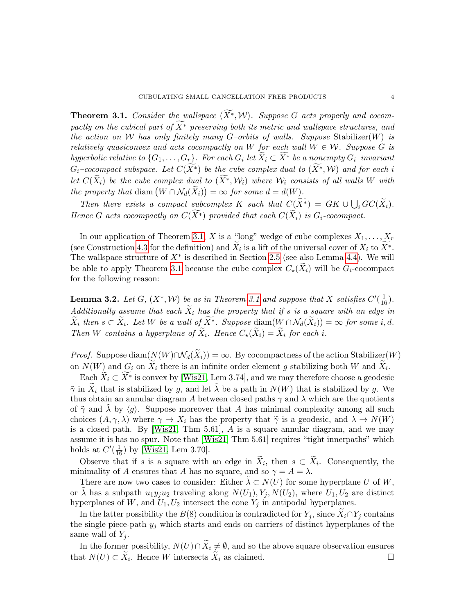<span id="page-3-0"></span>**Theorem 3.1.** Consider the wallspace  $(X^*, W)$ . Suppose G acts properly and cocompactly on the cubical part of  $\widetilde{X}^*$  preserving both its metric and wallspace structures, and the action on W has only finitely many G–orbits of walls. Suppose Stabilizer(W) is relatively quasiconvex and acts cocompactly on W for each wall  $W \in \mathcal{W}$ . Suppose G is hyperbolic relative to  $\{G_1, \ldots, G_r\}$ . For each  $G_i$  let  $X_i \subset X^*$  be a nonempty  $G_i$ -invariant  $G_i$ –cocompact subspace. Let  $C(\widetilde{X^*})$  be the cube complex dual to  $(\widetilde{X^*}, \mathcal{W})$  and for each i let  $C(\widetilde{X}_i)$  be the cube complex dual to  $(\widetilde{X}^*, \mathcal{W}_i)$  where  $\mathcal{W}_i$  consists of all walls W with the property that diam  $(W \cap \mathcal{N}_d(\tilde{X}_i)) = \infty$  for some  $d = d(W)$ .

Then there exists a compact subcomplex K such that  $C(X^*) = GK \cup \bigcup_i GC(\tilde{X}_i)$ . Hence G acts cocompactly on  $C(\widetilde{X^*})$  provided that each  $C(\widetilde{X}_i)$  is  $G_i$ -cocompact.

In our application of Theorem [3.1,](#page-3-0) X is a "long" wedge of cube complexes  $X_1, \ldots, X_r$ (see Construction [4.3](#page-5-0) for the definition) and  $\tilde{X}_i$  is a lift of the universal cover of  $X_i$  to  $\tilde{X}^*$ . The wallspace structure of  $X^*$  is described in Section [2.5](#page-2-2) (see also Lemma [4.4\)](#page-6-1). We will be able to apply Theorem [3.1](#page-3-0) because the cube complex  $C_{\star}(X_i)$  will be  $G_i$ -cocompact for the following reason:

<span id="page-3-1"></span>**Lemma 3.2.** Let G,  $(X^*, W)$  be as in Theorem [3.1](#page-3-0) and suppose that X satisfies  $C'(\frac{1}{16})$ . Additionally assume that each  $\widetilde{X}_i$  has the property that if s is a square with an edge in  $\widetilde{X}_i$  then  $s \subset \widetilde{X}_i$ . Let W be a wall of  $\widetilde{X}^*$ . Suppose diam $(W \cap \mathcal{N}_d(\widetilde{X}_i)) = \infty$  for some i, d. Then W contains a hyperplane of  $\widetilde{X}_i$ . Hence  $C_{\star}(\widetilde{X}_i) = \widetilde{X}_i$  for each i.

*Proof.* Suppose diam $(N(W) \cap N_d(\tilde{X}_i)) = \infty$ . By cocompactness of the action Stabilizer(W) on  $N(W)$  and  $G_i$  on  $X_i$  there is an infinite order element g stabilizing both W and  $X_i$ .

Each  $\widetilde{X}_i \subset \widetilde{X}^*$  is convex by [\[Wis21,](#page-10-5) Lem 3.74], and we may therefore choose a geodesic  $\tilde{\gamma}$  in  $\tilde{X}_i$  that is stabilized by g, and let  $\tilde{\lambda}$  be a path in  $N(W)$  that is stabilized by g. We thus obtain an annular diagram A between closed paths  $\gamma$  and  $\lambda$  which are the quotients of  $\tilde{\gamma}$  and  $\lambda$  by  $\langle q \rangle$ . Suppose moreover that A has minimal complexity among all such choices  $(A, \gamma, \lambda)$  where  $\gamma \to X_i$  has the property that  $\tilde{\gamma}$  is a geodesic, and  $\lambda \to N(W)$ is a closed path. By [\[Wis21,](#page-10-5) Thm 5.61],  $\vec{A}$  is a square annular diagram, and we may assume it is has no spur. Note that [\[Wis21,](#page-10-5) Thm 5.61] requires "tight innerpaths" which holds at  $C'(\frac{1}{16})$  by [\[Wis21,](#page-10-5) Lem 3.70].

Observe that if s is a square with an edge in  $X_i$ , then  $s \subset X_i$ . Consequently, the minimality of A ensures that A has no square, and so  $\gamma = A = \lambda$ .

There are now two cases to consider: Either  $\lambda \subset N(U)$  for some hyperplane U of W, or  $\lambda$  has a subpath  $u_1y_ju_2$  traveling along  $N(U_1), Y_j, N(U_2)$ , where  $U_1, U_2$  are distinct hyperplanes of  $W$ , and  $U_1, U_2$  intersect the cone  $Y_j$  in antipodal hyperplanes.

In the latter possibility the  $B(8)$  condition is contradicted for  $Y_j$ , since  $X_i \cap Y_j$  contains the single piece-path  $y_j$  which starts and ends on carriers of distinct hyperplanes of the same wall of  $Y_i$ .

In the former possibility,  $N(U) \cap \tilde{X}_i \neq \emptyset$ , and so the above square observation ensures at  $N(U) \subset \tilde{X}_i$ . Hence W intersects  $\tilde{X}_i$  as claimed. that  $N(U) \subset \widetilde{X}_i$ . Hence W intersects  $\widetilde{X}_i$  as claimed.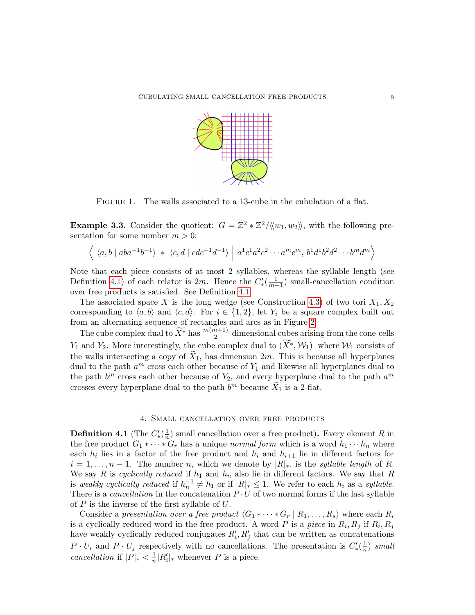

FIGURE 1. The walls associated to a 13-cube in the cubulation of a flat.

**Example 3.3.** Consider the quotient:  $G = \mathbb{Z}^2 * \mathbb{Z}^2 / \langle\langle w_1, w_2 \rangle\rangle$ , with the following presentation for some number  $m > 0$ :

$$
\langle \langle a, b \mid aba^{-1}b^{-1} \rangle * \langle c, d \mid cdc^{-1}d^{-1} \rangle \mid a^1c^1a^2c^2 \cdots a^mc^m, b^1d^1b^2d^2 \cdots b^md^m \rangle
$$

Note that each piece consists of at most 2 syllables, whereas the syllable length (see Definition [4.1\)](#page-4-1) of each relator is 2m. Hence the  $C'_{*}(\frac{1}{m-1})$  small-cancellation condition over free products is satisfied. See Definition [4.1.](#page-4-1)

The associated space X is the long wedge (see Construction [4.3\)](#page-5-0) of two tori  $X_1, X_2$ corresponding to  $\langle a, b \rangle$  and  $\langle c, d \rangle$ . For  $i \in \{1, 2\}$ , let  $Y_i$  be a square complex built out from an alternating sequence of rectangles and arcs as in Figure [2.](#page-5-1)

The cube complex dual to  $\widetilde{X}^*$  has  $\frac{m(m+1)}{2}$ -dimensional cubes arising from the cone-cells Y<sub>1</sub> and Y<sub>2</sub>. More interestingly, the cube complex dual to  $(X^*, \mathcal{W}_1)$  where  $\mathcal{W}_1$  consists of the walls intersecting a copy of  $\tilde{X}_1$ , has dimension 2m. This is because all hyperplanes dual to the path  $a^m$  cross each other because of  $Y_1$  and likewise all hyperplanes dual to the path  $b^m$  cross each other because of  $Y_2$ , and every hyperplane dual to the path  $a^m$ crosses every hyperplane dual to the path  $b^m$  because  $\widetilde{X}_1$  is a 2-flat.

# 4. Small cancellation over free products

<span id="page-4-1"></span><span id="page-4-0"></span>Definition 4.1 (The  $C_*^{\prime}(\frac{1}{n})$  $\frac{1}{n}$ ) small cancellation over a free product). Every element R in the free product  $G_1 * \cdots * G_r$  has a unique *normal form* which is a word  $h_1 \cdots h_n$  where each  $h_i$  lies in a factor of the free product and  $h_i$  and  $h_{i+1}$  lie in different factors for  $i = 1, \ldots, n - 1$ . The number n, which we denote by  $|R|_k$ , is the *syllable length* of R. We say R is cyclically reduced if  $h_1$  and  $h_n$  also lie in different factors. We say that R is weakly cyclically reduced if  $h_n^{-1} \neq h_1$  or if  $|R|_* \leq 1$ . We refer to each  $h_i$  as a syllable. There is a *cancellation* in the concatenation  $P \cdot U$  of two normal forms if the last syllable of  $P$  is the inverse of the first syllable of  $U$ .

Consider a presentation over a free product  $\langle G_1 * \cdots * G_r | R_1, \ldots, R_s \rangle$  where each  $R_i$ is a cyclically reduced word in the free product. A word P is a piece in  $R_i, R_j$  if  $R_i, R_j$ have weakly cyclically reduced conjugates  $R'_i, R'_j$  that can be written as concatenations  $P \cdot U_i$  and  $P \cdot U_j$  respectively with no cancellations. The presentation is  $C'_{*}(\frac{1}{n})$  $\frac{1}{n}$ ) small cancellation if  $|P|_* < \frac{1}{n}$  $\frac{1}{n}|R'_i|_*$  whenever P is a piece.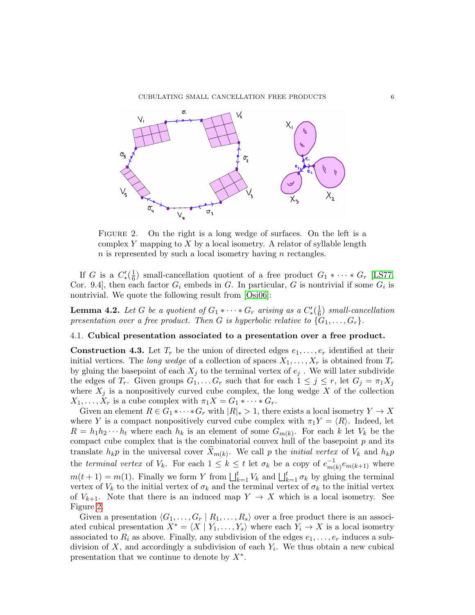CUBULATING SMALL CANCELLATION FREE PRODUCTS 6



<span id="page-5-1"></span>FIGURE 2. On the right is a long wedge of surfaces. On the left is a complex Y mapping to X by a local isometry. A relator of syllable length  $n$  is represented by such a local isometry having  $n$  rectangles.

If G is a  $C'_*(\frac{1}{6}$  $\frac{1}{6}$ ) small-cancellation quotient of a free product  $G_1 * \cdots * G_r$  [\[LS77,](#page-10-10) Cor. 9.4, then each factor  $G_i$  embeds in G. In particular, G is nontrivial if some  $G_i$  is nontrivial. We quote the following result from [\[Osi06\]](#page-10-11):

<span id="page-5-2"></span>**Lemma 4.2.** Let G be a quotient of  $G_1 * \cdots * G_r$  arising as a  $C'_{*}(\frac{1}{6})$  $\frac{1}{6}$ ) small-cancellation presentation over a free product. Then G is hyperbolic relative to  $\{G_1, \ldots, G_r\}$ .

# 4.1. Cubical presentation associated to a presentation over a free product.

<span id="page-5-0"></span>**Construction 4.3.** Let  $T_r$  be the union of directed edges  $e_1, \ldots, e_r$  identified at their initial vertices. The long wedge of a collection of spaces  $X_1, \ldots, X_r$  is obtained from  $T_r$ by gluing the basepoint of each  $X_j$  to the terminal vertex of  $e_j$ . We will later subdivide the edges of  $T_r$ . Given groups  $G_1, \ldots, G_r$  such that for each  $1 \leq j \leq r$ , let  $G_j = \pi_1 X_j$ where  $X_j$  is a nonpositively curved cube complex, the long wedge X of the collection  $X_1, \ldots, X_r$  is a cube complex with  $\pi_1 X = G_1 * \cdots * G_r$ .

Given an element  $R \in G_1 * \cdots * G_r$  with  $|R|_* > 1$ , there exists a local isometry  $Y \to X$ where Y is a compact nonpositively curved cube complex with  $\pi_1 Y = \langle R \rangle$ . Indeed, let  $R = h_1 h_2 \cdots h_t$  where each  $h_k$  is an element of some  $G_{m(k)}$ . For each k let  $V_k$  be the compact cube complex that is the combinatorial convex hull of the basepoint  $p$  and its translate  $h_k p$  in the universal cover  $X_{m(k)}$ . We call p the *initial vertex* of  $V_k$  and  $h_k p$ the terminal vertex of  $V_k$ . For each  $1 \leq k \leq t$  let  $\sigma_k$  be a copy of  $e^{-1}_{m}$  $\frac{-1}{m(k)}e_{m(k+1)}$  where  $m(t+1) = m(1)$ . Finally we form Y from  $\bigsqcup_{k=1}^{t} V_k$  and  $\bigsqcup_{k=1}^{t} \sigma_k$  by gluing the terminal vertex of  $V_k$  to the initial vertex of  $\sigma_k$  and the terminal vertex of  $\sigma_k$  to the initial vertex of  $V_{k+1}$ . Note that there is an induced map  $Y \to X$  which is a local isometry. See Figure [2.](#page-5-1)

Given a presentation  $\langle G_1, \ldots, G_r | R_1, \ldots, R_s \rangle$  over a free product there is an associated cubical presentation  $X^* = \langle X | Y_1, \ldots, Y_s \rangle$  where each  $Y_i \to X$  is a local isometry associated to  $R_i$  as above. Finally, any subdivision of the edges  $e_1, \ldots, e_r$  induces a subdivision of  $X$ , and accordingly a subdivision of each  $Y_i$ . We thus obtain a new cubical presentation that we continue to denote by  $X^*$ .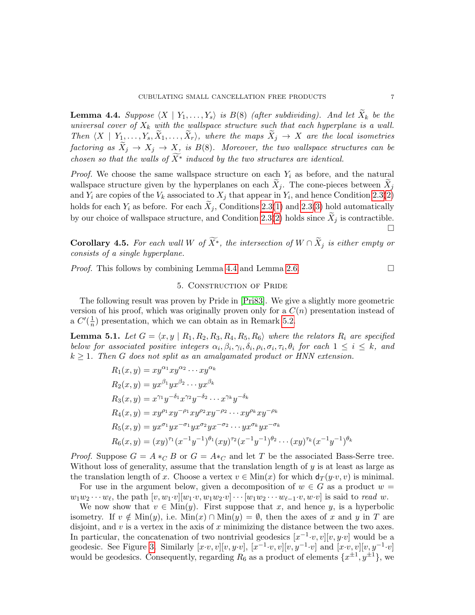<span id="page-6-1"></span>**Lemma 4.4.** Suppose  $\langle X | Y_1, \ldots, Y_s \rangle$  is  $B(8)$  (after subdividing). And let  $X_k$  be the universal cover of  $X_k$  with the wallspace structure such that each hyperplane is a wall. Then  $\langle X \mid Y_1, \ldots, Y_s, \overline{X}_1, \ldots, \overline{X}_r \rangle$ , where the maps  $\widetilde{X}_j \to X$  are the local isometries factoring as  $\widetilde{X}_j \to X_j \to X$ , is  $B(8)$ . Moreover, the two wallspace structures can be chosen so that the walls of  $\widetilde{X}^*$  induced by the two structures are identical.

*Proof.* We choose the same wallspace structure on each  $Y_i$  as before, and the natural wallspace structure given by the hyperplanes on each  $X_j$ . The cone-pieces between  $X_j$ and  $Y_i$  are copies of the  $V_k$  associated to  $X_j$  that appear in  $Y_i$ , and hence Condition [2.3\(](#page-1-0)[2\)](#page-1-1) holds for each  $Y_i$  as before. For each  $X_j$ , Conditions [2.3\(](#page-1-0)[1\)](#page-1-2) and 2.3([3\)](#page-1-3) hold automatically by our choice of wallspace structure, and Condition [2.3\(](#page-1-0)[2\)](#page-1-1) holds since  $\tilde{X}_i$  is contractible.  $\Box$ 

Corollary 4.5. For each wall W of  $\widetilde{X}^*$ , the intersection of  $W \cap \widetilde{X}_i$  is either empty or consists of a single hyperplane.

<span id="page-6-0"></span>*Proof.* This follows by combining Lemma [4.4](#page-6-1) and Lemma [2.6.](#page-2-3)  $\Box$ 

# 5. Construction of Pride

The following result was proven by Pride in [\[Pri83\]](#page-10-12). We give a slightly more geometric version of his proof, which was originally proven only for a  $C(n)$  presentation instead of a  $C'(\frac{1}{n})$  $\frac{1}{n}$ ) presentation, which we can obtain as in Remark [5.2.](#page-7-0)

<span id="page-6-2"></span>**Lemma 5.1.** Let  $G = \langle x, y | R_1, R_2, R_3, R_4, R_5, R_6 \rangle$  where the relators  $R_i$  are specified below for associated positive integers  $\alpha_i, \beta_i, \gamma_i, \delta_i, \rho_i, \sigma_i, \tau_i, \theta_i$  for each  $1 \leq i \leq k$ , and  $k \geq 1$ . Then G does not split as an amalgamated product or HNN extension.

$$
R_1(x, y) = xy^{\alpha_1} xy^{\alpha_2} \cdots xy^{\alpha_k}
$$
  
\n
$$
R_2(x, y) = yx^{\beta_1} yx^{\beta_2} \cdots yx^{\beta_k}
$$
  
\n
$$
R_3(x, y) = x^{\gamma_1} y^{-\delta_1} x^{\gamma_2} y^{-\delta_2} \cdots x^{\gamma_k} y^{-\delta_k}
$$
  
\n
$$
R_4(x, y) = xy^{\rho_1} xy^{-\rho_1} xy^{\rho_2} xy^{-\rho_2} \cdots xy^{\rho_k} xy^{-\rho_k}
$$
  
\n
$$
R_5(x, y) = yx^{\sigma_1} yx^{-\sigma_1} yx^{\sigma_2} yx^{-\sigma_2} \cdots yx^{\sigma_k} yx^{-\sigma_k}
$$
  
\n
$$
R_6(x, y) = (xy)^{\tau_1} (x^{-1}y^{-1})^{\theta_1} (xy)^{\tau_2} (x^{-1}y^{-1})^{\theta_2} \cdots (xy)^{\tau_k} (x^{-1}y^{-1})^{\theta_k}
$$

*Proof.* Suppose  $G = A *_{C} B$  or  $G = A *_{C}$  and let T be the associated Bass-Serre tree. Without loss of generality, assume that the translation length of y is at least as large as the translation length of x. Choose a vertex  $v \in \text{Min}(x)$  for which  $d_T(y \cdot v, v)$  is minimal.

For use in the argument below, given a decomposition of  $w \in G$  as a product  $w =$  $w_1w_2\cdots w_\ell$ , the path  $[v, w_1\cdot v][w_1\cdot v, w_1w_2\cdot v]\cdots[w_1w_2\cdots w_{\ell-1}\cdot v, w\cdot v]$  is said to read w.

We now show that  $v \in \text{Min}(y)$ . First suppose that x, and hence y, is a hyperbolic isometry. If  $v \notin \text{Min}(y)$ , i.e.  $\text{Min}(x) \cap \text{Min}(y) = \emptyset$ , then the axes of x and y in T are disjoint, and  $v$  is a vertex in the axis of  $x$  minimizing the distance between the two axes. In particular, the concatenation of two nontrivial geodesics  $[x^{-1} \cdot v, v][v, y \cdot v]$  would be a geodesic. See Figure [3.](#page-7-1) Similarly  $[x \cdot v, v][v, y \cdot v]$ ,  $[x^{-1} \cdot v, v][v, y^{-1} \cdot v]$  and  $[x \cdot v, v][v, y^{-1} \cdot v]$ would be geodesics. Consequently, regarding  $R_6$  as a product of elements  $\{x^{\pm 1}, y^{\pm 1}\}\,$  we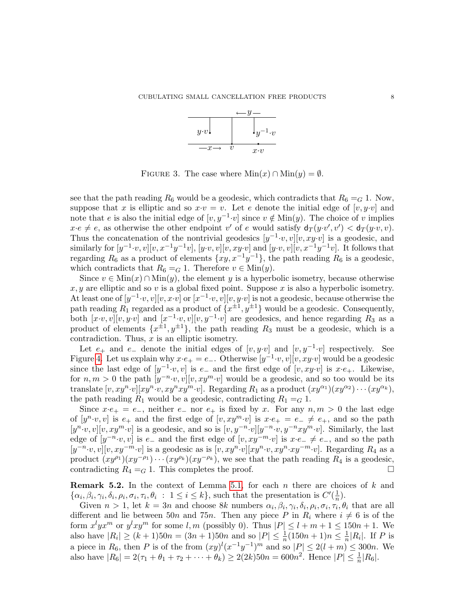

<span id="page-7-1"></span>FIGURE 3. The case where  $\text{Min}(x) \cap \text{Min}(y) = \emptyset$ .

see that the path reading  $R_6$  would be a geodesic, which contradicts that  $R_6 = G 1$ . Now, suppose that x is elliptic and so  $x \cdot v = v$ . Let e denote the initial edge of  $[v, y \cdot v]$  and note that e is also the initial edge of  $[v, y^{-1} \cdot v]$  since  $v \notin \text{Min}(y)$ . The choice of v implies  $x \cdot e \neq e$ , as otherwise the other endpoint v' of e would satisfy  $d_T(y \cdot v', v') < d_T(y \cdot v, v)$ . Thus the concatenation of the nontrivial geodesics  $[y^{-1} \cdot v, v][v, xy \cdot v]$  is a geodesic, and similarly for  $[y^{-1} \cdot v, v][v, x^{-1}y^{-1}v], [y \cdot v, v][v, xy \cdot v]$  and  $[y \cdot v, v][v, x^{-1}y^{-1}v]$ . It follows that regarding  $R_6$  as a product of elements  $\{xy, x^{-1}y^{-1}\}$ , the path reading  $R_6$  is a geodesic, which contradicts that  $R_6 = G 1$ . Therefore  $v \in \text{Min}(y)$ .

Since  $v \in \text{Min}(x) \cap \text{Min}(y)$ , the element y is a hyperbolic isometry, because otherwise  $x, y$  are elliptic and so v is a global fixed point. Suppose x is also a hyperbolic isometry. At least one of  $[y^{-1} \cdot v, v][v, x \cdot v]$  or  $[x^{-1} \cdot v, v][v, y \cdot v]$  is not a geodesic, because otherwise the path reading  $R_1$  regarded as a product of  $\{x^{\pm 1}, y^{\pm 1}\}$  would be a geodesic. Consequently, both  $[x \cdot v, v][v, y \cdot v]$  and  $[x^{-1} \cdot v, v][v, y^{-1} \cdot v]$  are geodesics, and hence regarding  $R_3$  as a product of elements  $\{x^{\pm 1}, y^{\pm 1}\}$ , the path reading  $R_3$  must be a geodesic, which is a contradiction. Thus,  $x$  is an elliptic isometry.

Let  $e_+$  and  $e_-$  denote the initial edges of  $[v, y \cdot v]$  and  $[v, y^{-1} \cdot v]$  respectively. See Figure [4.](#page-8-0) Let us explain why  $x \cdot e_+ = e_-$ . Otherwise  $[y^{-1} \cdot v, v][v, xy \cdot v]$  would be a geodesic since the last edge of  $[y^{-1} \cdot v, v]$  is  $e_{-}$  and the first edge of  $[v, xy \cdot v]$  is  $x \cdot e_{+}$ . Likewise, for  $n, m > 0$  the path  $[y^{-n} \cdot v, v][v, xy^m \cdot v]$  would be a geodesic, and so too would be its translate  $[v, xy^n \cdot v][xy^n \cdot v, xy^n xy^m \cdot v]$ . Regarding  $R_1$  as a product  $(xy^{\alpha_1})(xy^{\alpha_2}) \cdots (xy^{\alpha_k}),$ the path reading  $R_1$  would be a geodesic, contradicting  $R_1 = G$  1.

Since  $x \cdot e_+ = e_-,$  neither  $e_-$  nor  $e_+$  is fixed by x. For any  $n, m > 0$  the last edge of  $[y^n \cdot v, v]$  is  $e_+$  and the first edge of  $[v, xy^m \cdot v]$  is  $x \cdot e_+ = e_- \neq e_+$ , and so the path  $[y^n \cdot v, v][v, xy^m \cdot v]$  is a geodesic, and so is  $[v, y^{-n} \cdot v][y^{-n} \cdot v, y^{-n}xy^m \cdot v]$ . Similarly, the last edge of  $[y^{-n} \cdot v, v]$  is e<sub>-</sub> and the first edge of  $[v, xy^{-m} \cdot v]$  is  $x \cdot e_- \neq e_-,$  and so the path  $[y^{-n} \cdot v, v][v, xy^{-m} \cdot v]$  is a geodesic as is  $[v, xy^n \cdot v][xy^n \cdot v, xy^n \cdot xy^{-m} \cdot v]$ . Regarding  $R_4$  as a product  $(xy^{\rho_1})(xy^{-\rho_1})\cdots (xy^{\rho_k})(xy^{-\rho_k})$ , we see that the path reading  $R_4$  is a geodesic, contradicting  $R_4 = G 1$ . This completes the proof.

<span id="page-7-0"></span>**Remark 5.2.** In the context of Lemma [5.1,](#page-6-2) for each n there are choices of  $k$  and  $\{\alpha_i, \beta_i, \gamma_i, \delta_i, \rho_i, \sigma_i, \tau_i, \theta_i : 1 \leq i \leq k\}$ , such that the presentation is  $C'(\frac{1}{n})$  $\frac{1}{n}$ ).

Given  $n > 1$ , let  $k = 3n$  and choose 8k numbers  $\alpha_i, \beta_i, \gamma_i, \delta_i, \rho_i, \sigma_i, \tau_i, \theta_i$  that are all different and lie between 50n and 75n. Then any piece P in  $R_i$  where  $i \neq 6$  is of the form  $x^{l}yx^{m}$  or  $y^{l}xy^{m}$  for some  $l, m$  (possibly 0). Thus  $|P| \leq l + m + 1 \leq 150n + 1$ . We also have  $|R_i| \ge (k+1)50n = (3n+1)50n$  and so  $|P| \le \frac{1}{n}(150n+1)n \le \frac{1}{n}$  $\frac{1}{n}|R_i|$ . If P is a piece in  $R_6$ , then P is of the from  $(xy)^l(x^{-1}y^{-1})^m$  and so  $|P| \le 2(l+m) \le 300n$ . We also have  $|R_6| = 2(\tau_1 + \theta_1 + \tau_2 + \cdots + \theta_k) \geq 2(2k)50n = 600n^2$ . Hence  $|P| \leq \frac{1}{n}|R_6|$ .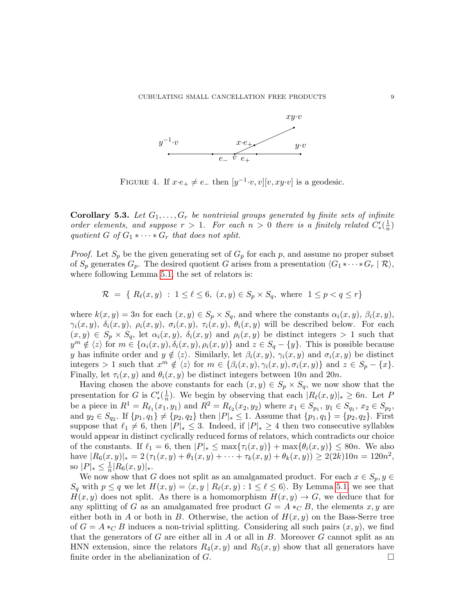

<span id="page-8-0"></span>FIGURE 4. If  $x \cdot e_+ \neq e_-$  then  $[y^{-1} \cdot v, v][v, xy \cdot v]$  is a geodesic.

<span id="page-8-1"></span>**Corollary 5.3.** Let  $G_1, \ldots, G_r$  be nontrivial groups generated by finite sets of infinite order elements, and suppose  $r > 1$ . For each  $n > 0$  there is a finitely related  $C'_{*}(\frac{1}{n})$  $\frac{1}{n}$ quotient G of  $G_1 * \cdots * G_r$  that does not split.

*Proof.* Let  $S_p$  be the given generating set of  $G_p$  for each p, and assume no proper subset of  $S_p$  generates  $G_p$ . The desired quotient G arises from a presentation  $\langle G_1 * \cdots * G_r | \mathcal{R} \rangle$ , where following Lemma [5.1,](#page-6-2) the set of relators is:

$$
\mathcal{R} = \{ R_{\ell}(x, y) : 1 \le \ell \le 6, (x, y) \in S_p \times S_q, \text{ where } 1 \le p < q \le r \}
$$

where  $k(x, y) = 3n$  for each  $(x, y) \in S_p \times S_q$ , and where the constants  $\alpha_i(x, y)$ ,  $\beta_i(x, y)$ ,  $\gamma_i(x, y)$ ,  $\delta_i(x, y)$ ,  $\rho_i(x, y)$ ,  $\sigma_i(x, y)$ ,  $\tau_i(x, y)$ ,  $\theta_i(x, y)$  will be described below. For each  $(x, y) \in S_p \times S_q$ , let  $\alpha_i(x, y)$ ,  $\delta_i(x, y)$  and  $\rho_i(x, y)$  be distinct integers > 1 such that  $y^m \notin \langle z \rangle$  for  $m \in \{ \alpha_i(x, y), \delta_i(x, y), \rho_i(x, y) \}$  and  $z \in S_q - \{y\}$ . This is possible because y has infinite order and  $y \notin \langle z \rangle$ . Similarly, let  $\beta_i(x, y)$ ,  $\gamma_i(x, y)$  and  $\sigma_i(x, y)$  be distinct integers > 1 such that  $x^m \notin \langle z \rangle$  for  $m \in \{\beta_i(x, y), \gamma_i(x, y), \sigma_i(x, y)\}\$  and  $z \in S_p - \{x\}.$ Finally, let  $\tau_i(x, y)$  and  $\theta_i(x, y)$  be distinct integers between 10n and 20n.

Having chosen the above constants for each  $(x, y) \in S_p \times S_q$ , we now show that the presentation for G is  $C'_{*}(\frac{1}{n})$  $\frac{1}{n}$ ). We begin by observing that each  $|R_{\ell}(x, y)|_* \geq 6n$ . Let P be a piece in  $R^1 = R_{\ell_1}(x_1, y_1)$  and  $R^2 = R_{\ell_2}(x_2, y_2)$  where  $x_1 \in S_{p_1}, y_1 \in S_{q_1}, x_2 \in S_{p_2},$ and  $y_2 \in S_{q_2}$ . If  $\{p_1, q_1\} \neq \{p_2, q_2\}$  then  $|P|_* \leq 1$ . Assume that  $\{p_1, q_1\} = \{p_2, q_2\}$ . First suppose that  $\ell_1 \neq 6$ , then  $|P|_* \leq 3$ . Indeed, if  $|P|_* \geq 4$  then two consecutive syllables would appear in distinct cyclically reduced forms of relators, which contradicts our choice of the constants. If  $\ell_1 = 6$ , then  $|P|_* \leq \max{\lbrace \tau_i(x, y) \rbrace} + \max{\lbrace \theta_i(x, y) \rbrace} \leq 80n$ . We also have  $|R_6(x,y)|_* = 2(\tau_1(x,y) + \theta_1(x,y) + \cdots + \tau_k(x,y) + \theta_k(x,y)) \geq 2(2k)10n = 120n^2$ , so  $|P|_* \leq \frac{1}{n}$  $\frac{1}{n} |R_6(x,y)|_*$ .

We now show that G does not split as an amalgamated product. For each  $x \in S_p$ ,  $y \in$  $S_q$  with  $p \le q$  we let  $H(x, y) = \langle x, y | R_\ell(x, y) : 1 \le \ell \le 6 \rangle$ . By Lemma [5.1,](#page-6-2) we see that  $H(x, y)$  does not split. As there is a homomorphism  $H(x, y) \to G$ , we deduce that for any splitting of G as an amalgamated free product  $G = A *_{\mathbb{C}} B$ , the elements x, y are either both in A or both in B. Otherwise, the action of  $H(x, y)$  on the Bass-Serre tree of  $G = A *_{C} B$  induces a non-trivial splitting. Considering all such pairs  $(x, y)$ , we find that the generators of  $G$  are either all in  $A$  or all in  $B$ . Moreover  $G$  cannot split as an HNN extension, since the relators  $R_4(x, y)$  and  $R_5(x, y)$  show that all generators have finite order in the abelianization of  $G$ .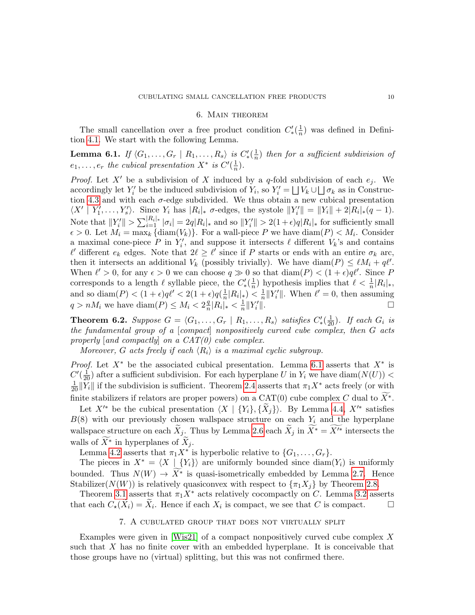### 6. Main theorem

<span id="page-9-0"></span>The small cancellation over a free product condition  $C'_{*}(\frac{1}{n})$  $\frac{1}{n}$ ) was defined in Definition [4.1.](#page-4-1) We start with the following Lemma.

<span id="page-9-3"></span>Lemma 6.1. If  $\langle G_1, \ldots, G_r | R_1, \ldots, R_s \rangle$  is  $C_*'(\frac{1}{n})$  $\frac{1}{n}$ ) then for a sufficient subdivision of  $e_1, \ldots, e_r$  the cubical presentation  $X^*$  is  $C'(\frac{1}{n})$  $\frac{1}{n}$ .

*Proof.* Let X' be a subdivision of X induced by a q-fold subdivision of each  $e_j$ . We accordingly let  $Y'_i$  be the induced subdivision of  $Y_i$ , so  $Y'_i = \bigsqcup V_k \cup \bigsqcup \sigma_k$  as in Construc-tion [4.3](#page-5-0) and with each  $\sigma$ -edge subdivided. We thus obtain a new cubical presentation  $\langle X' | Y'_1, \ldots, Y'_s \rangle$ . Since  $Y_i$  has  $|R_i|_* \sigma$ -edges, the systole  $||Y'_i|| = ||Y_i|| + 2|R_i|_*(q-1)$ . Note that  $||Y_i'|| > \sum_{i=1}^{|R_i|_*} |\sigma_i| = 2q|R_i|_*$  and so  $||Y_i'|| > 2(1+\epsilon)q|R_i|_*$  for sufficiently small  $\epsilon > 0$ . Let  $M_i = \max_k {\text{diam}(V_k)}$ . For a wall-piece P we have  $\text{diam}(P) < M_i$ . Consider a maximal cone-piece P in  $Y'_i$ , and suppose it intersects  $\ell$  different  $V_k$ 's and contains  $\ell'$  different  $e_k$  edges. Note that  $2\ell \geq \ell'$  since if P starts or ends with an entire  $\sigma_k$  arc, then it intersects an additional  $V_k$  (possibly trivially). We have  $\text{diam}(P) \leq \ell M_i + q\ell'$ . When  $\ell' > 0$ , for any  $\epsilon > 0$  we can choose  $q \gg 0$  so that  $\text{diam}(P) < (1 + \epsilon)q\ell'$ . Since P corresponds to a length  $\ell$  syllable piece, the  $C'_{*}(\frac{1}{n})$  $\frac{1}{n}$ ) hypothesis implies that  $\ell < \frac{1}{n}|R_i|_*$ , and so diam(P)  $\lt (1+\epsilon)q\ell' \lt 2(1+\epsilon)q\left(\frac{1}{n}\right)$  $\frac{1}{n}|R_i|_*$ ) <  $\frac{1}{n}$  $\frac{1}{n}||Y'_i||$ . When  $\ell' = 0$ , then assuming  $q > nM_i$  we have  $\text{diam}(P) \leq M_i < 2\frac{q}{n}$  $\frac{q}{n}|R_i|_* < \frac{1}{n}$  $\frac{1}{n}$ ||Y'  $\mathbb{R}$ .

<span id="page-9-1"></span>**Theorem 6.2.** Suppose  $G = \langle G_1, \ldots, G_r | R_1, \ldots, R_s \rangle$  satisfies  $C'_{*}(\frac{1}{20})$ . If each  $G_i$  is the fundamental group of a [compact] nonpositively curved cube complex, then  $G$  acts properly  $[and \ compactly]$  on a  $CAT(0)$  cube complex.

Moreover, G acts freely if each  $\langle R_i \rangle$  is a maximal cyclic subgroup.

*Proof.* Let  $X^*$  be the associated cubical presentation. Lemma [6.1](#page-9-3) asserts that  $X^*$  is  $C'(\frac{1}{20})$  after a sufficient subdivision. For each hyperplane U in  $Y_i$  we have  $\text{diam}(N(U))$  <  $\frac{1}{20} ||Y_i||$  if the subdivision is sufficient. Theorem [2.4](#page-2-4) asserts that  $\pi_1 X^*$  acts freely (or with finite stabilizers if relators are proper powers) on a CAT(0) cube complex C dual to  $\widetilde{X}^*$ .

Let  $X'^*$  be the cubical presentation  $\langle X | \{Y_i\}, \{X_i\}\rangle$ . By Lemma [4.4,](#page-6-1)  $X'^*$  satisfies  $B(8)$  with our previously chosen wallspace structure on each  $Y_i$  and the hyperplane wallspace structure on each  $\widetilde{X}_j$ . Thus by Lemma [2.6](#page-2-3) each  $\widetilde{X}_j$  in  $\widetilde{X}^* = \widetilde{X}^{\prime *}$  intersects the walls of  $\widetilde{X}^*$  in hyperplanes of  $\widetilde{X}_i$ .

Lemma [4.2](#page-5-2) asserts that  $\pi_1 X^*$  is hyperbolic relative to  $\{G_1, \ldots, G_r\}$ .

The pieces in  $X^* = \langle X | \{Y_i\} \rangle$  are uniformly bounded since  $\text{diam}(Y_i)$  is uniformly bounded. Thus  $N(W) \to X^*$  is quasi-isometrically embedded by Lemma [2.7.](#page-2-5) Hence Stabilizer( $N(W)$ ) is relatively quasiconvex with respect to  $\{\pi_1 X_i\}$  by Theorem [2.8.](#page-2-6)

Theorem [3.1](#page-3-0) asserts that  $\pi_1 X^*$  acts relatively cocompactly on C. Lemma [3.2](#page-3-1) asserts that each  $C_{\star}(\tilde{X}_i) = \tilde{X}_i$ . Hence if each  $X_i$  is compact, we see that C is compact.  $\square$ 

# 7. A cubulated group that does not virtually split

<span id="page-9-2"></span>Examples were given in [\[Wis21\]](#page-10-5) of a compact nonpositively curved cube complex X such that  $X$  has no finite cover with an embedded hyperplane. It is conceivable that those groups have no (virtual) splitting, but this was not confirmed there.